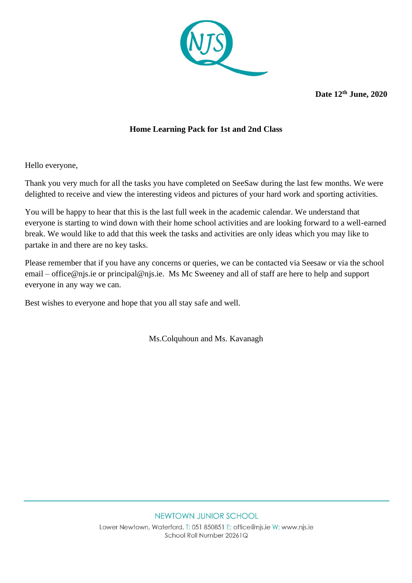

**Date 12th June, 2020**

## **Home Learning Pack for 1st and 2nd Class**

Hello everyone,

Thank you very much for all the tasks you have completed on SeeSaw during the last few months. We were delighted to receive and view the interesting videos and pictures of your hard work and sporting activities.

You will be happy to hear that this is the last full week in the academic calendar. We understand that everyone is starting to wind down with their home school activities and are looking forward to a well-earned break. We would like to add that this week the tasks and activities are only ideas which you may like to partake in and there are no key tasks.

Please remember that if you have any concerns or queries, we can be contacted via Seesaw or via the school email – [office@njs.ie](mailto:office@njs.ie) or [principal@njs.ie.](mailto:principal@njs.ie) Ms Mc Sweeney and all of staff are here to help and support everyone in any way we can.

Best wishes to everyone and hope that you all stay safe and well.

Ms.Colquhoun and Ms. Kavanagh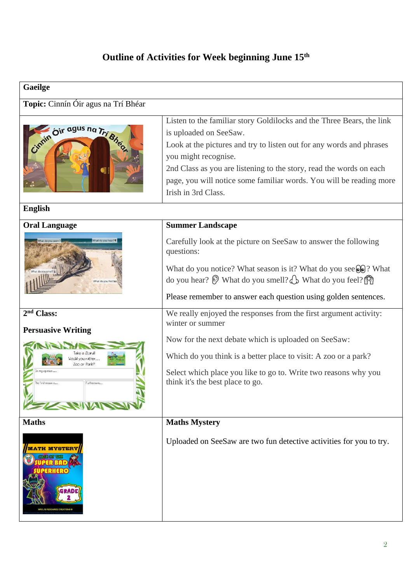## **Outline of Activities for Week beginning June 15th**

| <b>Gaeilge</b>                                                                                                   |                                                                                                                                                                                                                                                                                                                                                                      |  |  |  |
|------------------------------------------------------------------------------------------------------------------|----------------------------------------------------------------------------------------------------------------------------------------------------------------------------------------------------------------------------------------------------------------------------------------------------------------------------------------------------------------------|--|--|--|
| Topic: Cinnín Óir agus na Trí Bhéar                                                                              |                                                                                                                                                                                                                                                                                                                                                                      |  |  |  |
| Cimmin Oir agus na Trí Bheo                                                                                      | Listen to the familiar story Goldilocks and the Three Bears, the link<br>is uploaded on SeeSaw.<br>Look at the pictures and try to listen out for any words and phrases<br>you might recognise.<br>2nd Class as you are listening to the story, read the words on each<br>page, you will notice some familiar words. You will be reading more<br>Irish in 3rd Class. |  |  |  |
| <b>English</b>                                                                                                   |                                                                                                                                                                                                                                                                                                                                                                      |  |  |  |
| <b>Oral Language</b><br>What do you hear?<br>What do you feel?s-                                                 | <b>Summer Landscape</b><br>Carefully look at the picture on SeeSaw to answer the following<br>questions:<br>What do you notice? What season is it? What do you see $\mathcal{Q}$ ? What<br>do you hear? $\mathcal{D}$ What do you smell? $\mathcal{D}$ What do you feel?<br>Please remember to answer each question using golden sentences.                          |  |  |  |
| 2 <sup>nd</sup> Class:                                                                                           | We really enjoyed the responses from the first argument activity:<br>winter or summer                                                                                                                                                                                                                                                                                |  |  |  |
| <b>Persuasive Writing</b><br>ould you rather<br>my opinion<br>The first reason is<br>Furthermore<br><b>ENVAR</b> | Now for the next debate which is uploaded on SeeSaw:<br>Which do you think is a better place to visit: A zoo or a park?<br>Select which place you like to go to. Write two reasons why you<br>think it's the best place to go.                                                                                                                                       |  |  |  |
| <b>Maths</b>                                                                                                     | <b>Maths Mystery</b>                                                                                                                                                                                                                                                                                                                                                 |  |  |  |
| <b>TH MYSTER</b><br><b>IRS J'S RESOURCE CREATIONS</b>                                                            | Uploaded on SeeSaw are two fun detective activities for you to try.                                                                                                                                                                                                                                                                                                  |  |  |  |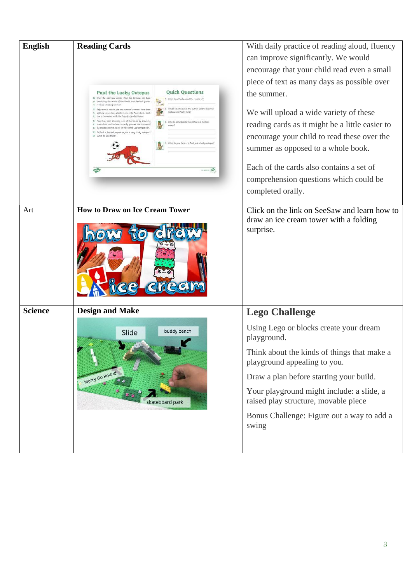| <b>English</b> | <b>Reading Cards</b><br><b>Quick Questions</b><br>Paul the Lucky Octopus<br>10 Over the past few weeks, Paul the Octopus has been<br>What does Paul predict the results of?<br>10 predicting the result of the World Cup football games.<br>参<br>23 He's an amazing animal?<br>Which adjectives has the author used to describ<br>32 :Before each match, the sea creature's owners have been<br>the boxes in Paul's tank?<br>41 putting some clear, plastic baxes into Paul's tank. Each<br>51 box is decorated with the flag of a fostball team.<br>61 Paul has been choosing one of the boxes by crawling<br>Why do some people think Paul is a footbal<br>71 towards it and he has correctly guessed the winner of<br>sigert?<br>81 six football games so for in the World Cup competition.<br>92 Is Poul a football expert or just a very lucky actopus?<br>96 What do you think?<br>What do you think - is Poul just a lucky och | With daily practice of reading aloud, fluency<br>can improve significantly. We would<br>encourage that your child read even a small<br>piece of text as many days as possible over<br>the summer.<br>We will upload a wide variety of these<br>reading cards as it might be a little easier to<br>encourage your child to read these over the<br>summer as opposed to a whole book.<br>Each of the cards also contains a set of<br>comprehension questions which could be<br>completed orally. |
|----------------|---------------------------------------------------------------------------------------------------------------------------------------------------------------------------------------------------------------------------------------------------------------------------------------------------------------------------------------------------------------------------------------------------------------------------------------------------------------------------------------------------------------------------------------------------------------------------------------------------------------------------------------------------------------------------------------------------------------------------------------------------------------------------------------------------------------------------------------------------------------------------------------------------------------------------------------|------------------------------------------------------------------------------------------------------------------------------------------------------------------------------------------------------------------------------------------------------------------------------------------------------------------------------------------------------------------------------------------------------------------------------------------------------------------------------------------------|
| Art            | <b>How to Draw on Ice Cream Tower</b>                                                                                                                                                                                                                                                                                                                                                                                                                                                                                                                                                                                                                                                                                                                                                                                                                                                                                                 | Click on the link on SeeSaw and learn how to<br>draw an ice cream tower with a folding<br>surprise.                                                                                                                                                                                                                                                                                                                                                                                            |
| <b>Science</b> | <b>Design and Make</b><br>buddy bench<br>Slide<br>Merry Go Round<br>skateboard park                                                                                                                                                                                                                                                                                                                                                                                                                                                                                                                                                                                                                                                                                                                                                                                                                                                   | <b>Lego Challenge</b><br>Using Lego or blocks create your dream<br>playground.<br>Think about the kinds of things that make a<br>playground appealing to you.<br>Draw a plan before starting your build.<br>Your playground might include: a slide, a<br>raised play structure, movable piece<br>Bonus Challenge: Figure out a way to add a<br>swing                                                                                                                                           |